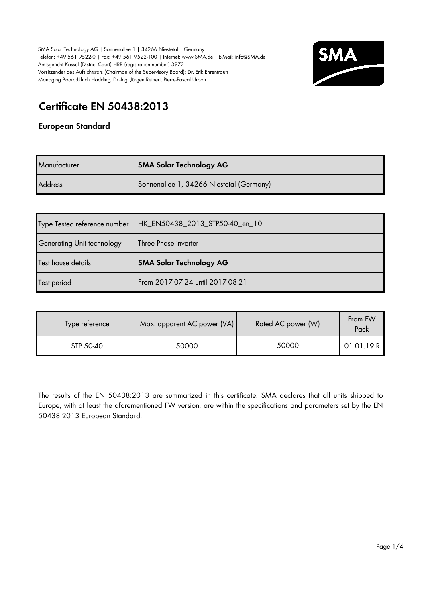

# **Certificate EN 50438:2013**

#### **European Standard**

| Manufacturer   | <b>SMA Solar Technology AG</b>           |
|----------------|------------------------------------------|
| <b>Address</b> | Sonnenallee 1, 34266 Niestetal (Germany) |

| Type Tested reference number | HK_EN50438_2013_STP50-40_en_10 |
|------------------------------|--------------------------------|
| Generating Unit technology   | Three Phase inverter           |
|                              |                                |
| Test house details           | <b>SMA Solar Technology AG</b> |

| Type reference | Max. apparent AC power (VA) | Rated AC power (W) | From FW<br>Pack |
|----------------|-----------------------------|--------------------|-----------------|
| STP 50-40      | 50000                       | 50000              | 01.01.19.R      |

The results of the EN 50438:2013 are summarized in this certificate. SMA declares that all units shipped to Europe, with at least the aforementioned FW version, are within the specifications and parameters set by the EN 50438:2013 European Standard.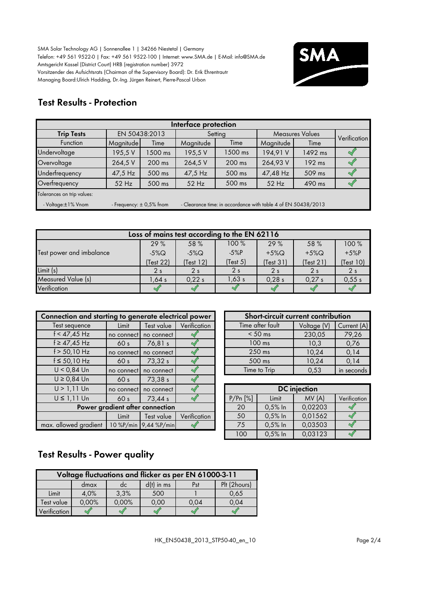

## **Test Results - Protection**

| Interface protection       |                                                                                               |                                                    |           |         |           |         |              |  |  |  |
|----------------------------|-----------------------------------------------------------------------------------------------|----------------------------------------------------|-----------|---------|-----------|---------|--------------|--|--|--|
| <b>Trip Tests</b>          |                                                                                               | EN 50438:2013<br><b>Measures Values</b><br>Setting |           |         |           |         | Verification |  |  |  |
| <b>Function</b>            | Magnitude                                                                                     | Time                                               | Magnitude | Time    | Magnitude | Time    |              |  |  |  |
| Undervoltage               | 195,5 V                                                                                       | 1500 ms                                            | 195,5V    | 1500 ms | 194,91 V  | 1492 ms |              |  |  |  |
| Overvoltage                | 264,5 V                                                                                       | $200$ ms                                           | 264,5 V   | 200 ms  | 264,93 V  | 192 ms  |              |  |  |  |
| Underfrequency             | 47,5 Hz                                                                                       | 500 ms                                             | 47,5 Hz   | 500 ms  | 47,48 Hz  | 509 ms  |              |  |  |  |
| Overfrequency              | $52$ Hz                                                                                       | 500 ms                                             | 52 Hz     | 500 ms  | $52$ Hz   | 490 ms  |              |  |  |  |
| Tolerances on trip values: |                                                                                               |                                                    |           |         |           |         |              |  |  |  |
| - Voltage:±1% Vnom         | - Clearance time: in accordance with table 4 of EN 50438/2013<br>- Frequency: $\pm$ 0,5% fnom |                                                    |           |         |           |         |              |  |  |  |

| Loss of mains test according to the EN 62116 |                |                |                |                |                |                |  |  |  |  |  |
|----------------------------------------------|----------------|----------------|----------------|----------------|----------------|----------------|--|--|--|--|--|
|                                              | 29%            | 58 %           | 100%           | 29%            | 58 %           | 100 %          |  |  |  |  |  |
| Test power and imbalance                     | $-5\%$ Q       | $-5\%$ Q       | $-5%P$         | $+5\%$ Q       | $+5\%$ Q       | $+5%P$         |  |  |  |  |  |
|                                              | (Test 22)      | (Test 12)      | (Test 5)       | (Test 31)      | (Test 21)      | (Test 10)      |  |  |  |  |  |
| Limit (s)                                    | 2 <sub>s</sub> | 2 <sub>s</sub> | 2 <sub>s</sub> | 2 <sub>s</sub> | 2 <sub>s</sub> | 2 <sub>s</sub> |  |  |  |  |  |
| Measured Value (s)                           | .64 s          | 0.22s          | 1.63s          | 0.28 s         | 0.27s          | 0,55s          |  |  |  |  |  |
| Verification                                 |                |                |                |                |                |                |  |  |  |  |  |

| Connection and starting to generate electrical power |                 |                       | Short-circuit current contribution |                  |              |                     |          |
|------------------------------------------------------|-----------------|-----------------------|------------------------------------|------------------|--------------|---------------------|----------|
| Test sequence                                        | Limit           | Test value            | Verification                       | Time after fault |              | Voltage (V)         | Curr     |
| $f < 47,45$ Hz                                       | no connect      | no connect            |                                    |                  | $< 50$ ms    | 230,05              | 79       |
| $f \ge 47,45$ Hz                                     | 60 <sub>s</sub> | 76,81 s               |                                    |                  | $100$ ms     | 10,3                | $\Omega$ |
| $f > 50,10$ Hz                                       | no connect      | no connect            |                                    |                  | $250$ ms     | 10,24               | $\Omega$ |
| $f \le 50,10$ Hz                                     | 60 <sub>s</sub> | 73,32 s               |                                    | 500 ms           |              | 10,24               | $\Omega$ |
| $U < 0.84$ Un                                        | no connect      | no connect            |                                    |                  | Time to Trip | 0,53                | in se    |
| $U \ge 0.84$ Un                                      | 60 <sub>s</sub> | 73.38 s               |                                    |                  |              |                     |          |
| $U > 1,11$ Un                                        | no connect      | no connect            |                                    |                  |              | <b>DC</b> injection |          |
| $U \leq 1,11$ Un                                     | 60 <sub>s</sub> | 73,44 s               |                                    | P/Pr[%]          | Limit        | MV(A)               | Verif    |
| Power gradient after connection                      |                 |                       |                                    | 20               | $0,5%$ In    | 0,02203             |          |
|                                                      | Limit           | Test value            | Verification                       | 50               | $0,5%$ In    | 0.01562             |          |
| max. allowed gradient                                |                 | 10 %P/min 9,44 %P/min |                                    | 75               | $0,5%$ In    | 0,03503             | ٩        |

| ing to generate electrical power |                       |              | Short-circuit current contribution |             |             |
|----------------------------------|-----------------------|--------------|------------------------------------|-------------|-------------|
| Limit                            | Test value            | Verification | Time after fault                   | Voltage (V) | Current (A) |
| no connect                       | no connect            |              | $< 50$ ms                          | 230,05      | 79,26       |
| 60 <sub>s</sub>                  | 76,81 s               |              | $100$ ms                           | 10,3        | 0,76        |
|                                  | no connect no connect |              | $250$ ms                           | 10,24       | 0,14        |
| 60 <sub>s</sub>                  | 73,32 s               |              | 500 ms                             | 10,24       | 0.14        |
|                                  | no connect no connect |              | Time to Trip                       | 0.53        | in seconds  |

| connect              | no connect         |              | <b>DC</b> injection |           |         |              |  |
|----------------------|--------------------|--------------|---------------------|-----------|---------|--------------|--|
| 60 <sub>s</sub>      | 73,44 s            |              | P/Pr[%]             | Limit     | MV(A)   | Verification |  |
| nt after connection: |                    | 20           | $0,5%$ In           | 0,02203   |         |              |  |
| Limit                | Test value         | Verification | 50                  | $0,5%$ In | 0,01562 |              |  |
|                      | %P/min 9,44 %P/min |              | 75                  | 0,5% In   | 0,03503 |              |  |
|                      |                    |              | 100                 | 0,5% In   | 0,03123 |              |  |

## **Test Results - Power quality**

| Voltage fluctuations and flicker as per EN 61000-3-11 |       |       |              |      |              |  |  |  |  |  |
|-------------------------------------------------------|-------|-------|--------------|------|--------------|--|--|--|--|--|
|                                                       | dmax  | dc    | $d(t)$ in ms | Pst  | Plt (2hours) |  |  |  |  |  |
| Limit                                                 | 4.0%  | 3,3%  | 500          |      | 0.65         |  |  |  |  |  |
| Test value                                            | 0,00% | 0,00% | 0.00         | 0.04 | 0,04         |  |  |  |  |  |
| Verification                                          |       |       |              |      |              |  |  |  |  |  |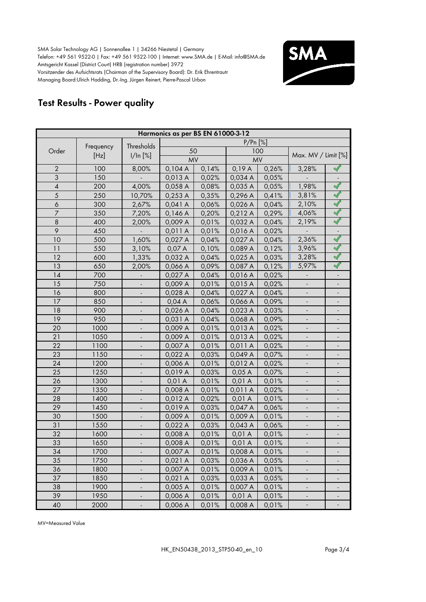

## **Test Results - Power quality**

| Harmonics as per BS EN 61000-3-12 |           |                          |           |       |            |       |                          |                          |  |  |
|-----------------------------------|-----------|--------------------------|-----------|-------|------------|-------|--------------------------|--------------------------|--|--|
|                                   |           | Thresholds               |           |       | $P/Pr$ [%] |       |                          |                          |  |  |
| Order                             | Frequency |                          | 50        |       |            | 100   |                          |                          |  |  |
|                                   | [Hz]      | 1/ln [%]                 | <b>MV</b> |       | <b>MV</b>  |       | Max. MV / Limit [%]      |                          |  |  |
| $\overline{2}$                    | 100       | 8,00%                    | 0,104A    | 0,14% | 0,19A      | 0,26% | 3,28%                    |                          |  |  |
| 3                                 | 150       |                          | 0,013 A   | 0,02% | 0,034 A    | 0,05% |                          |                          |  |  |
| $\overline{4}$                    | 200       | 4,00%                    | 0,058 A   | 0,08% | 0,035 A    | 0,05% | 1,98%                    | $\prec$                  |  |  |
| 5                                 | 250       | 10,70%                   | 0,253 A   | 0,35% | 0,296 A    | 0,41% | 3,81%                    | $\prec$                  |  |  |
| 6                                 | 300       | 2,67%                    | 0,041A    | 0,06% | 0,026 A    | 0,04% | 2,10%                    | $\preceq$                |  |  |
| $\overline{7}$                    | 350       | 7,20%                    | 0,146A    | 0,20% | 0,212A     | 0,29% | 4,06%                    | $\prec$                  |  |  |
| $\boldsymbol{8}$                  | 400       | 2,00%                    | 0,009 A   | 0,01% | 0,032 A    | 0,04% | 2,19%                    | $\blacktriangleleft$     |  |  |
| 9                                 | 450       |                          | 0,011 A   | 0,01% | 0,016 A    | 0,02% |                          |                          |  |  |
| 10                                | 500       | 1,60%                    | 0,027 A   | 0,04% | 0,027 A    | 0,04% | 2,36%                    | $\prec$                  |  |  |
| 11                                | 550       | 3,10%                    | 0,07 A    | 0,10% | 0,089 A    | 0,12% | 3,96%                    | $\blacktriangleleft$     |  |  |
| 12                                | 600       | 1,33%                    | 0,032 A   | 0,04% | 0,025 A    | 0,03% | 3,28%                    | $\blacktriangleleft$     |  |  |
| 13                                | 650       | 2,00%                    | 0,066 A   | 0,09% | 0,087 A    | 0,12% | 5,97%                    |                          |  |  |
| 14                                | 700       | $\overline{\phantom{a}}$ | 0,027 A   | 0,04% | 0,016 A    | 0,02% | $\overline{\phantom{a}}$ |                          |  |  |
| 15                                | 750       | $\overline{\phantom{a}}$ | 0,009 A   | 0,01% | 0,015 A    | 0,02% | $\overline{\phantom{a}}$ |                          |  |  |
| 16                                | 800       | $\blacksquare$           | 0,028 A   | 0,04% | 0,027 A    | 0,04% | $\overline{\phantom{a}}$ |                          |  |  |
| 17                                | 850       |                          | 0,04A     | 0,06% | 0,066 A    | 0,09% | $\blacksquare$           |                          |  |  |
| 18                                | 900       |                          | 0,026 A   | 0,04% | 0,023 A    | 0,03% |                          |                          |  |  |
| 19                                | 950       |                          | 0,031 A   | 0,04% | 0,068 A    | 0,09% |                          |                          |  |  |
| 20                                | 1000      |                          | 0,009 A   | 0,01% | 0,013 A    | 0,02% |                          |                          |  |  |
| 21                                | 1050      |                          | 0,009 A   | 0,01% | 0,013 A    | 0,02% |                          |                          |  |  |
| 22                                | 1100      |                          | 0,007 A   | 0,01% | 0,011 A    | 0,02% |                          |                          |  |  |
| 23                                | 1150      |                          | 0,022 A   | 0,03% | 0,049 A    | 0,07% |                          |                          |  |  |
| 24                                | 1200      |                          | 0,006 A   | 0,01% | 0,012 A    | 0,02% |                          |                          |  |  |
| 25                                | 1250      |                          | 0,019 A   | 0,03% | 0,05A      | 0,07% |                          |                          |  |  |
| 26                                | 1300      |                          | 0,01 A    | 0,01% | 0,01A      | 0,01% |                          |                          |  |  |
| 27                                | 1350      |                          | 0,008 A   | 0,01% | 0,011 A    | 0,02% |                          |                          |  |  |
| 28                                | 1400      |                          | 0,012 A   | 0,02% | 0,01 A     | 0,01% |                          | $\overline{\phantom{a}}$ |  |  |
| 29                                | 1450      | $\blacksquare$           | 0,019 A   | 0,03% | 0,047 A    | 0,06% | $\overline{\phantom{a}}$ |                          |  |  |
| 30                                | 1500      | $\overline{\phantom{a}}$ | 0,009 A   | 0,01% | 0,009 A    | 0,01% | $\overline{\phantom{a}}$ |                          |  |  |
| 31                                | 1550      | $\blacksquare$           | 0,022 A   | 0,03% | 0,043 A    | 0,06% | $\overline{\phantom{a}}$ | $\overline{\phantom{a}}$ |  |  |
| 32                                | 1600      | $\blacksquare$           | 0,008 A   | 0,01% | 0,01A      | 0,01% | $\blacksquare$           |                          |  |  |
| 33                                | 1650      |                          | 0,008 A   | 0,01% | 0,01 A     | 0,01% | $\blacksquare$           |                          |  |  |
| 34                                | 1700      |                          | 0,007 A   | 0,01% | 0,008 A    | 0,01% |                          |                          |  |  |
| 35                                | 1750      |                          | 0,021 A   | 0,03% | 0,036 A    | 0,05% |                          |                          |  |  |
| 36                                | 1800      | ÷                        | 0,007 A   | 0,01% | 0,009 A    | 0,01% |                          |                          |  |  |
| 37                                | 1850      | $\overline{\phantom{0}}$ | 0,021A    | 0,03% | 0,033 A    | 0,05% |                          |                          |  |  |
| 38                                | 1900      |                          | 0,005 A   | 0,01% | 0,007 A    | 0,01% |                          |                          |  |  |
| 39                                | 1950      |                          | 0,006 A   | 0,01% | 0,01 A     | 0,01% | $\overline{\phantom{a}}$ |                          |  |  |
| 40                                | 2000      |                          | 0,006 A   | 0,01% | 0,008 A    | 0,01% | $\overline{\phantom{a}}$ |                          |  |  |

MV=Measured Value